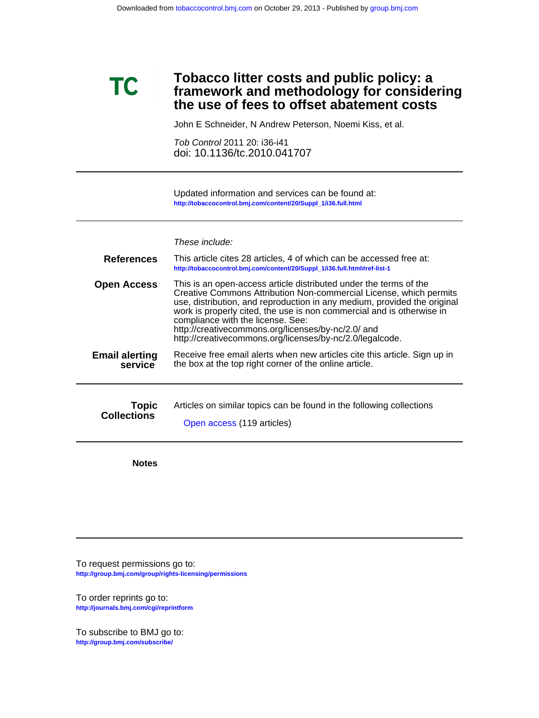# **the use of fees to offset abatement costs framework and methodology for considering Tobacco litter costs and public policy: a**

John E Schneider, N Andrew Peterson, Noemi Kiss, et al.

doi: 10.1136/tc.2010.041707 Tob Control 2011 20: i36-i41

**[http://tobaccocontrol.bmj.com/content/20/Suppl\\_1/i36.full.html](http://tobaccocontrol.bmj.com/content/20/Suppl_1/i36.full.html)** Updated information and services can be found at:

### These include:

| <b>References</b>     | This article cites 28 articles, 4 of which can be accessed free at:<br>http://tobaccocontrol.bmj.com/content/20/Suppl_1/i36.full.html#ref-list-1                                                                                                                                                                                                                                                                                                    |
|-----------------------|-----------------------------------------------------------------------------------------------------------------------------------------------------------------------------------------------------------------------------------------------------------------------------------------------------------------------------------------------------------------------------------------------------------------------------------------------------|
| <b>Open Access</b>    | This is an open-access article distributed under the terms of the<br>Creative Commons Attribution Non-commercial License, which permits<br>use, distribution, and reproduction in any medium, provided the original<br>work is properly cited, the use is non commercial and is otherwise in<br>compliance with the license. See:<br>http://creativecommons.org/licenses/by-nc/2.0/ and<br>http://creativecommons.org/licenses/by-nc/2.0/legalcode. |
| <b>Email alerting</b> | Receive free email alerts when new articles cite this article. Sign up in                                                                                                                                                                                                                                                                                                                                                                           |
| service               | the box at the top right corner of the online article.                                                                                                                                                                                                                                                                                                                                                                                              |
| <b>Topic</b>          | Articles on similar topics can be found in the following collections                                                                                                                                                                                                                                                                                                                                                                                |
| <b>Collections</b>    | Open access (119 articles)                                                                                                                                                                                                                                                                                                                                                                                                                          |

**Notes**

**TC** 

**<http://group.bmj.com/group/rights-licensing/permissions>** To request permissions go to:

**<http://journals.bmj.com/cgi/reprintform>** To order reprints go to:

**<http://group.bmj.com/subscribe/>** To subscribe to BMJ go to: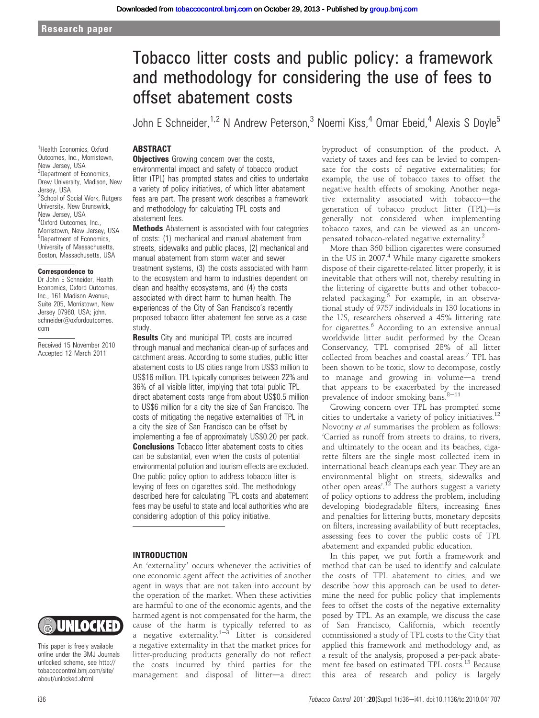# Tobacco litter costs and public policy: a framework and methodology for considering the use of fees to offset abatement costs

John E Schneider,  $1.2$  N Andrew Peterson,  $3$  Noemi Kiss,  $4$  Omar Ebeid,  $4$  Alexis S Doyle<sup>5</sup>

## **ABSTRACT**

**Objectives** Growing concern over the costs, environmental impact and safety of tobacco product litter (TPL) has prompted states and cities to undertake a variety of policy initiatives, of which litter abatement fees are part. The present work describes a framework and methodology for calculating TPL costs and abatement fees.

**Methods** Abatement is associated with four categories of costs: (1) mechanical and manual abatement from streets, sidewalks and public places, (2) mechanical and manual abatement from storm water and sewer treatment systems, (3) the costs associated with harm to the ecosystem and harm to industries dependent on clean and healthy ecosystems, and (4) the costs associated with direct harm to human health. The experiences of the City of San Francisco's recently proposed tobacco litter abatement fee serve as a case study.

**Results** City and municipal TPL costs are incurred through manual and mechanical clean-up of surfaces and catchment areas. According to some studies, public litter abatement costs to US cities range from US\$3 million to US\$16 million. TPL typically comprises between 22% and 36% of all visible litter, implying that total public TPL direct abatement costs range from about US\$0.5 million to US\$6 million for a city the size of San Francisco. The costs of mitigating the negative externalities of TPL in a city the size of San Francisco can be offset by implementing a fee of approximately US\$0.20 per pack. **Conclusions** Tobacco litter abatement costs to cities can be substantial, even when the costs of potential environmental pollution and tourism effects are excluded. One public policy option to address tobacco litter is levying of fees on cigarettes sold. The methodology described here for calculating TPL costs and abatement fees may be useful to state and local authorities who are considering adoption of this policy initiative.

#### INTRODUCTION

An 'externality' occurs whenever the activities of one economic agent affect the activities of another agent in ways that are not taken into account by the operation of the market. When these activities are harmful to one of the economic agents, and the harmed agent is not compensated for the harm, the cause of the harm is typically referred to as a negative externality.<sup>1-3</sup> Litter is considered a negative externality in that the market prices for litter-producing products generally do not reflect the costs incurred by third parties for the management and disposal of litter-a direct

byproduct of consumption of the product. A variety of taxes and fees can be levied to compensate for the costs of negative externalities; for example, the use of tobacco taxes to offset the negative health effects of smoking. Another negative externality associated with tobacco-the generation of tobacco product litter (TPL)-is generally not considered when implementing tobacco taxes, and can be viewed as an uncompensated tobacco-related negative externality.2

More than 360 billion cigarettes were consumed in the US in 2007.<sup>4</sup> While many cigarette smokers dispose of their cigarette-related litter properly, it is inevitable that others will not, thereby resulting in the littering of cigarette butts and other tobaccorelated packaging. $5$  For example, in an observational study of 9757 individuals in 130 locations in the US, researchers observed a 45% littering rate for cigarettes.<sup>6</sup> According to an extensive annual worldwide litter audit performed by the Ocean Conservancy, TPL comprised 28% of all litter collected from beaches and coastal areas.7 TPL has been shown to be toxic, slow to decompose, costly to manage and growing in volume-a trend that appears to be exacerbated by the increased prevalence of indoor smoking bans. $8-11$ 

Growing concern over TPL has prompted some cities to undertake a variety of policy initiatives.<sup>12</sup> Novotny et al summarises the problem as follows: 'Carried as runoff from streets to drains, to rivers, and ultimately to the ocean and its beaches, cigarette filters are the single most collected item in international beach cleanups each year. They are an environmental blight on streets, sidewalks and other open areas'.<sup>12</sup> The authors suggest a variety of policy options to address the problem, including developing biodegradable filters, increasing fines and penalties for littering butts, monetary deposits on filters, increasing availability of butt receptacles, assessing fees to cover the public costs of TPL abatement and expanded public education.

In this paper, we put forth a framework and method that can be used to identify and calculate the costs of TPL abatement to cities, and we describe how this approach can be used to determine the need for public policy that implements fees to offset the costs of the negative externality posed by TPL. As an example, we discuss the case of San Francisco, California, which recently commissioned a study of TPL costs to the City that applied this framework and methodology and, as a result of the analysis, proposed a per-pack abatement fee based on estimated TPL costs.<sup>13</sup> Because this area of research and policy is largely

<sup>1</sup>Health Economics, Oxford Outcomes, Inc., Morristown, New Jersey, USA <sup>2</sup>Department of Economics, Drew University, Madison, New Jersey, USA <sup>3</sup>School of Social Work, Rutgers University, New Brunswick, New Jersey, USA 4 Oxford Outcomes, Inc., Morristown, New Jersey, USA <sup>5</sup>Department of Economics, University of Massachusetts, Boston, Massachusetts, USA

#### Correspondence to

Dr John E Schneider, Health Economics, Oxford Outcomes, Inc., 161 Madison Avenue, Suite 205, Morristown, New Jersey 07960, USA; john. schneider@oxfordoutcomes. com

Received 15 November 2010 Accepted 12 March 2011



This paper is freely available online under the BMJ Journals unlocked scheme, see http:// tobaccocontrol.bmj.com/site/ about/unlocked.xhtml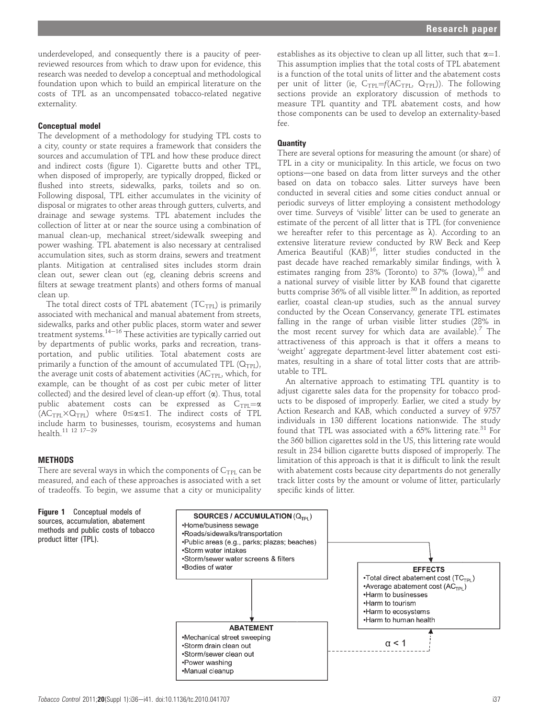underdeveloped, and consequently there is a paucity of peerreviewed resources from which to draw upon for evidence, this research was needed to develop a conceptual and methodological foundation upon which to build an empirical literature on the costs of TPL as an uncompensated tobacco-related negative externality.

#### Conceptual model

The development of a methodology for studying TPL costs to a city, county or state requires a framework that considers the sources and accumulation of TPL and how these produce direct and indirect costs (figure 1). Cigarette butts and other TPL, when disposed of improperly, are typically dropped, flicked or flushed into streets, sidewalks, parks, toilets and so on. Following disposal, TPL either accumulates in the vicinity of disposal or migrates to other areas through gutters, culverts, and drainage and sewage systems. TPL abatement includes the collection of litter at or near the source using a combination of manual clean-up, mechanical street/sidewalk sweeping and power washing. TPL abatement is also necessary at centralised accumulation sites, such as storm drains, sewers and treatment plants. Mitigation at centralised sites includes storm drain clean out, sewer clean out (eg, cleaning debris screens and filters at sewage treatment plants) and others forms of manual clean up.

The total direct costs of TPL abatement  $(TC_{TPL})$  is primarily associated with mechanical and manual abatement from streets, sidewalks, parks and other public places, storm water and sewer treatment systems.<sup>14-16</sup> These activities are typically carried out by departments of public works, parks and recreation, transportation, and public utilities. Total abatement costs are primarily a function of the amount of accumulated TPL  $(Q_{TPL})$ , the average unit costs of abatement activities ( $AC$ <sub>TPL</sub>, which, for example, can be thought of as cost per cubic meter of litter collected) and the desired level of clean-up effort  $(\alpha)$ . Thus, total public abatement costs can be expressed as  $C_{\text{TPL}} = \alpha$  $(AC_{TPI} \times Q_{TPI})$  where  $0 \le \alpha \le 1$ . The indirect costs of TPL include harm to businesses, tourism, ecosystems and human health.<sup>11 12</sup> <sup>17-29</sup>

#### **METHODS**

product litter (TPL).

There are several ways in which the components of  $C_{TPL}$  can be measured, and each of these approaches is associated with a set of tradeoffs. To begin, we assume that a city or municipality

establishes as its objective to clean up all litter, such that  $\alpha=1$ . This assumption implies that the total costs of TPL abatement is a function of the total units of litter and the abatement costs per unit of litter (ie,  $C_{TPL} = f(AC_{TPL}, Q_{TPL})$ ). The following sections provide an exploratory discussion of methods to measure TPL quantity and TPL abatement costs, and how those components can be used to develop an externality-based fee.

#### **Quantity**

There are several options for measuring the amount (or share) of TPL in a city or municipality. In this article, we focus on two options-one based on data from litter surveys and the other based on data on tobacco sales. Litter surveys have been conducted in several cities and some cities conduct annual or periodic surveys of litter employing a consistent methodology over time. Surveys of 'visible' litter can be used to generate an estimate of the percent of all litter that is TPL (for convenience we hereafter refer to this percentage as  $\lambda$ ). According to an extensive literature review conducted by RW Beck and Keep America Beautiful (KAB)<sup>16</sup>, litter studies conducted in the past decade have reached remarkably similar findings, with  $\lambda$ estimates ranging from 23% (Toronto) to  $37\%$  (Iowa),  $16$  and a national survey of visible litter by KAB found that cigarette butts comprise  $36\%$  of all visible litter.<sup>30</sup> In addition, as reported earlier, coastal clean-up studies, such as the annual survey conducted by the Ocean Conservancy, generate TPL estimates falling in the range of urban visible litter studies (28% in the most recent survey for which data are available).<sup>7</sup> The attractiveness of this approach is that it offers a means to 'weight' aggregate department-level litter abatement cost estimates, resulting in a share of total litter costs that are attributable to TPL.

An alternative approach to estimating TPL quantity is to adjust cigarette sales data for the propensity for tobacco products to be disposed of improperly. Earlier, we cited a study by Action Research and KAB, which conducted a survey of 9757 individuals in 130 different locations nationwide. The study found that TPL was associated with a  $65\%$  littering rate.<sup>31</sup> For the 360 billion cigarettes sold in the US, this littering rate would result in 234 billion cigarette butts disposed of improperly. The limitation of this approach is that it is difficult to link the result with abatement costs because city departments do not generally track litter costs by the amount or volume of litter, particularly specific kinds of litter.

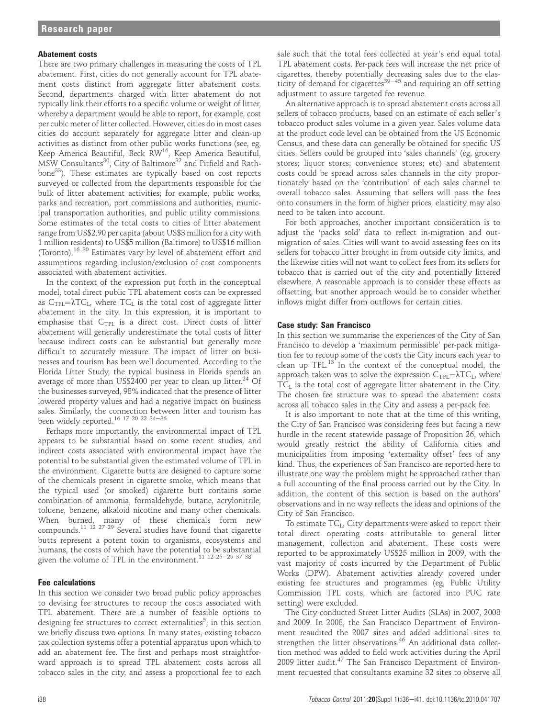#### Abatement costs

There are two primary challenges in measuring the costs of TPL abatement. First, cities do not generally account for TPL abatement costs distinct from aggregate litter abatement costs. Second, departments charged with litter abatement do not typically link their efforts to a specific volume or weight of litter, whereby a department would be able to report, for example, cost per cubic meter of litter collected. However, cities do in most cases cities do account separately for aggregate litter and clean-up activities as distinct from other public works functions (see, eg, Reep America Beautiful, Beck RW<sup>16</sup>, Keep America Beautiful, MSW Consultants<sup>30</sup>, City of Baltimore<sup>32</sup> and Pitfield and Rathbone<sup>33</sup>). These estimates are typically based on cost reports surveyed or collected from the departments responsible for the bulk of litter abatement activities; for example, public works, parks and recreation, port commissions and authorities, municipal transportation authorities, and public utility commissions. Some estimates of the total costs to cities of litter abatement range from US\$2.90 per capita (about US\$3 million for a city with 1 million residents) to US\$5 million (Baltimore) to US\$16 million (Toronto).16 30 Estimates vary by level of abatement effort and assumptions regarding inclusion/exclusion of cost components associated with abatement activities.

In the context of the expression put forth in the conceptual model, total direct public TPL abatement costs can be expressed as  $C_{TPL} = \lambda TC_L$ , where  $TC_L$  is the total cost of aggregate litter abatement in the city. In this expression, it is important to emphasise that  $C_{TPL}$  is a direct cost. Direct costs of litter abatement will generally underestimate the total costs of litter because indirect costs can be substantial but generally more difficult to accurately measure. The impact of litter on businesses and tourism has been well documented. According to the Florida Litter Study, the typical business in Florida spends an average of more than US\$2400 per year to clean up litter.<sup>24</sup> Of the businesses surveyed, 98% indicated that the presence of litter lowered property values and had a negative impact on business sales. Similarly, the connection between litter and tourism has been widely reported.<sup>16 17 20 22 34-36</sup>

Perhaps more importantly, the environmental impact of TPL appears to be substantial based on some recent studies, and indirect costs associated with environmental impact have the potential to be substantial given the estimated volume of TPL in the environment. Cigarette butts are designed to capture some of the chemicals present in cigarette smoke, which means that the typical used (or smoked) cigarette butt contains some combination of ammonia, formaldehyde, butane, acrylonitrile, toluene, benzene, alkaloid nicotine and many other chemicals. When burned, many of these chemicals form new compounds.<sup>11 12 27 29</sup> Several studies have found that cigarette butts represent a potent toxin to organisms, ecosystems and humans, the costs of which have the potential to be substantial given the volume of TPL in the environment.<sup>11 12 25-29 37 38</sup>

#### Fee calculations

In this section we consider two broad public policy approaches to devising fee structures to recoup the costs associated with TPL abatement. There are a number of feasible options to designing fee structures to correct externalities $^5\!;$  in this section we briefly discuss two options. In many states, existing tobacco tax collection systems offer a potential apparatus upon which to add an abatement fee. The first and perhaps most straightforward approach is to spread TPL abatement costs across all tobacco sales in the city, and assess a proportional fee to each sale such that the total fees collected at year's end equal total TPL abatement costs. Per-pack fees will increase the net price of cigarettes, thereby potentially decreasing sales due to the elasticity of demand for cigarettes $39-45$  and requiring an off setting adjustment to assure targeted fee revenue.

An alternative approach is to spread abatement costs across all sellers of tobacco products, based on an estimate of each seller's tobacco product sales volume in a given year. Sales volume data at the product code level can be obtained from the US Economic Census, and these data can generally be obtained for specific US cities. Sellers could be grouped into 'sales channels' (eg, grocery stores; liquor stores; convenience stores; etc) and abatement costs could be spread across sales channels in the city proportionately based on the 'contribution' of each sales channel to overall tobacco sales. Assuming that sellers will pass the fees onto consumers in the form of higher prices, elasticity may also need to be taken into account.

For both approaches, another important consideration is to adjust the 'packs sold' data to reflect in-migration and outmigration of sales. Cities will want to avoid assessing fees on its sellers for tobacco litter brought in from outside city limits, and the likewise cities will not want to collect fees from its sellers for tobacco that is carried out of the city and potentially littered elsewhere. A reasonable approach is to consider these effects as offsetting, but another approach would be to consider whether inflows might differ from outflows for certain cities.

#### Case study: San Francisco

In this section we summarise the experiences of the City of San Francisco to develop a 'maximum permissible' per-pack mitigation fee to recoup some of the costs the City incurs each year to clean up TPL. $^{13}$  In the context of the conceptual model, the approach taken was to solve the expression  $C_{TPL} = \lambda TC_L$ , where  $TC<sub>L</sub>$  is the total cost of aggregate litter abatement in the City. The chosen fee structure was to spread the abatement costs across all tobacco sales in the City and assess a per-pack fee.

It is also important to note that at the time of this writing, the City of San Francisco was considering fees but facing a new hurdle in the recent statewide passage of Proposition 26, which would greatly restrict the ability of California cities and municipalities from imposing 'externality offset' fees of any kind. Thus, the experiences of San Francisco are reported here to illustrate one way the problem might be approached rather than a full accounting of the final process carried out by the City. In addition, the content of this section is based on the authors' observations and in no way reflects the ideas and opinions of the City of San Francisco.

To estimate  $TC_L$ , City departments were asked to report their total direct operating costs attributable to general litter management, collection and abatement. These costs were reported to be approximately US\$25 million in 2009, with the vast majority of costs incurred by the Department of Public Works (DPW). Abatement activities already covered under existing fee structures and programmes (eg, Public Utility Commission TPL costs, which are factored into PUC rate setting) were excluded.

The City conducted Street Litter Audits (SLAs) in 2007, 2008 and 2009. In 2008, the San Francisco Department of Environment reaudited the 2007 sites and added additional sites to strengthen the litter observations.<sup>46</sup> An additional data collection method was added to field work activities during the April 2009 litter audit.<sup>47</sup> The San Francisco Department of Environment requested that consultants examine 32 sites to observe all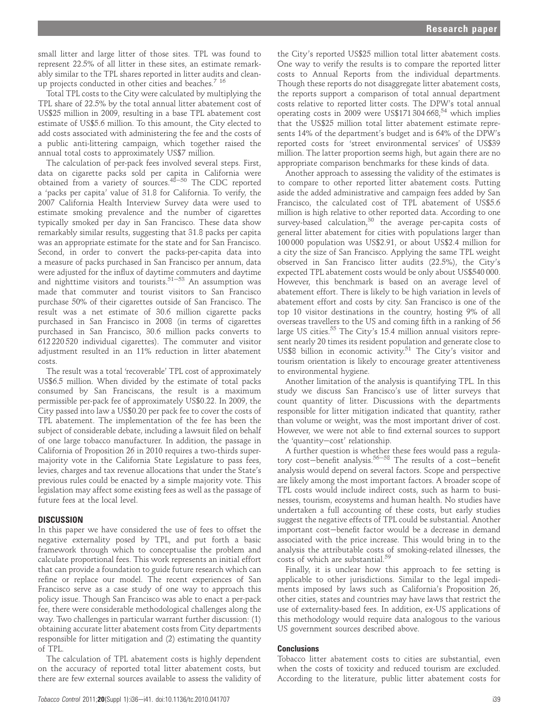small litter and large litter of those sites. TPL was found to represent 22.5% of all litter in these sites, an estimate remarkably similar to the TPL shares reported in litter audits and cleanup projects conducted in other cities and beaches.<sup>7</sup> <sup>16</sup>

Total TPL costs to the City were calculated by multiplying the TPL share of 22.5% by the total annual litter abatement cost of US\$25 million in 2009, resulting in a base TPL abatement cost estimate of US\$5.6 million. To this amount, the City elected to add costs associated with administering the fee and the costs of a public anti-littering campaign, which together raised the annual total costs to approximately US\$7 million.

The calculation of per-pack fees involved several steps. First, data on cigarette packs sold per capita in California were obtained from a variety of sources. $48-50$  The CDC reported a 'packs per capita' value of 31.8 for California. To verify, the 2007 California Health Interview Survey data were used to estimate smoking prevalence and the number of cigarettes typically smoked per day in San Francisco. These data show remarkably similar results, suggesting that 31.8 packs per capita was an appropriate estimate for the state and for San Francisco. Second, in order to convert the packs-per-capita data into a measure of packs purchased in San Francisco per annum, data were adjusted for the influx of daytime commuters and daytime and nighttime visitors and tourists.<sup>51–53</sup> An assumption was made that commuter and tourist visitors to San Francisco purchase 50% of their cigarettes outside of San Francisco. The result was a net estimate of 30.6 million cigarette packs purchased in San Francisco in 2008 (in terms of cigarettes purchased in San Francisco, 30.6 million packs converts to 612 220 520 individual cigarettes). The commuter and visitor adjustment resulted in an 11% reduction in litter abatement costs.

The result was a total 'recoverable' TPL cost of approximately US\$6.5 million. When divided by the estimate of total packs consumed by San Franciscans, the result is a maximum permissible per-pack fee of approximately US\$0.22. In 2009, the City passed into law a US\$0.20 per pack fee to cover the costs of TPL abatement. The implementation of the fee has been the subject of considerable debate, including a lawsuit filed on behalf of one large tobacco manufacturer. In addition, the passage in California of Proposition 26 in 2010 requires a two-thirds supermajority vote in the California State Legislature to pass fees, levies, charges and tax revenue allocations that under the State's previous rules could be enacted by a simple majority vote. This legislation may affect some existing fees as well as the passage of future fees at the local level.

#### **DISCUSSION**

In this paper we have considered the use of fees to offset the negative externality posed by TPL, and put forth a basic framework through which to conceptualise the problem and calculate proportional fees. This work represents an initial effort that can provide a foundation to guide future research which can refine or replace our model. The recent experiences of San Francisco serve as a case study of one way to approach this policy issue. Though San Francisco was able to enact a per-pack fee, there were considerable methodological challenges along the way. Two challenges in particular warrant further discussion: (1) obtaining accurate litter abatement costs from City departments responsible for litter mitigation and (2) estimating the quantity of TPL.

The calculation of TPL abatement costs is highly dependent on the accuracy of reported total litter abatement costs, but there are few external sources available to assess the validity of

the City's reported US\$25 million total litter abatement costs. One way to verify the results is to compare the reported litter costs to Annual Reports from the individual departments. Though these reports do not disaggregate litter abatement costs, the reports support a comparison of total annual department costs relative to reported litter costs. The DPW's total annual operating costs in  $2009$  were US\$171 304 668,<sup>54</sup> which implies that the US\$25 million total litter abatement estimate represents 14% of the department's budget and is 64% of the DPW's reported costs for 'street environmental services' of US\$39 million. The latter proportion seems high, but again there are no appropriate comparison benchmarks for these kinds of data.

Another approach to assessing the validity of the estimates is to compare to other reported litter abatement costs. Putting aside the added administrative and campaign fees added by San Francisco, the calculated cost of TPL abatement of US\$5.6 million is high relative to other reported data. According to one survey-based calculation,  $30$  the average per-capita costs of general litter abatement for cities with populations larger than 100 000 population was US\$2.91, or about US\$2.4 million for a city the size of San Francisco. Applying the same TPL weight observed in San Francisco litter audits (22.5%), the City's expected TPL abatement costs would be only about US\$540 000. However, this benchmark is based on an average level of abatement effort. There is likely to be high variation in levels of abatement effort and costs by city. San Francisco is one of the top 10 visitor destinations in the country, hosting 9% of all overseas travellers to the US and coming fifth in a ranking of 56 large US cities.<sup>55</sup> The City's 15.4 million annual visitors represent nearly 20 times its resident population and generate close to US\$8 billion in economic activity.<sup>51</sup> The City's visitor and tourism orientation is likely to encourage greater attentiveness to environmental hygiene.

Another limitation of the analysis is quantifying TPL. In this study we discuss San Francisco's use of litter surveys that count quantity of litter. Discussions with the departments responsible for litter mitigation indicated that quantity, rather than volume or weight, was the most important driver of cost. However, we were not able to find external sources to support the 'quantity-cost' relationship.

A further question is whether these fees would pass a regulatory cost-benefit analysis.<sup>56-58</sup> The results of a cost-benefit analysis would depend on several factors. Scope and perspective are likely among the most important factors. A broader scope of TPL costs would include indirect costs, such as harm to businesses, tourism, ecosystems and human health. No studies have undertaken a full accounting of these costs, but early studies suggest the negative effects of TPL could be substantial. Another important cost-benefit factor would be a decrease in demand associated with the price increase. This would bring in to the analysis the attributable costs of smoking-related illnesses, the costs of which are substantial. $^{59}$ 

Finally, it is unclear how this approach to fee setting is applicable to other jurisdictions. Similar to the legal impediments imposed by laws such as California's Proposition 26, other cities, states and countries may have laws that restrict the use of externality-based fees. In addition, ex-US applications of this methodology would require data analogous to the various US government sources described above.

#### **Conclusions**

Tobacco litter abatement costs to cities are substantial, even when the costs of toxicity and reduced tourism are excluded. According to the literature, public litter abatement costs for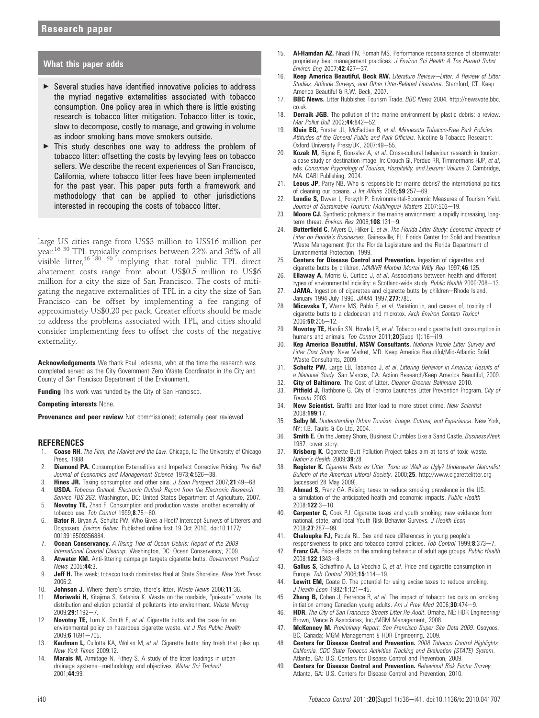#### What this paper adds

- ▶ Several studies have identified innovative policies to address the myriad negative externalities associated with tobacco consumption. One policy area in which there is little existing research is tobacco litter mitigation. Tobacco litter is toxic, slow to decompose, costly to manage, and growing in volume as indoor smoking bans move smokers outside.
- $\triangleright$  This study describes one way to address the problem of tobacco litter: offsetting the costs by levying fees on tobacco sellers. We describe the recent experiences of San Francisco, California, where tobacco litter fees have been implemented for the past year. This paper puts forth a framework and methodology that can be applied to other jurisdictions interested in recouping the costs of tobacco litter.

large US cities range from US\$3 million to US\$16 million per year.16 <sup>30</sup> TPL typically comprises between 22% and 36% of all visible litter,<sup>16 30</sup> <sup>60</sup> implying that total public TPL direct abatement costs range from about US\$0.5 million to US\$6 million for a city the size of San Francisco. The costs of mitigating the negative externalities of TPL in a city the size of San Francisco can be offset by implementing a fee ranging of approximately US\$0.20 per pack. Greater efforts should be made to address the problems associated with TPL, and cities should consider implementing fees to offset the costs of the negative externality.

Acknowledgements We thank Paul Ledesma, who at the time the research was completed served as the City Government Zero Waste Coordinator in the City and County of San Francisco Department of the Environment.

Funding This work was funded by the City of San Francisco.

Competing interests None.

Provenance and peer review Not commissioned; externally peer reviewed.

#### **REFERENCES**

- 1. **Coase RH.** The Firm, the Market and the Law. Chicago, IL: The University of Chicago Press, 1988.
- 2. **Diamond PA.** Consumption Externalities and Imperfect Corrective Pricing. The Bell Journal of Economics and Management Science 1973;4:526-38.
- 3. Hines JR. Taxing consumption and other sins. J Econ Perspect 2007;21:49-68
- 4. **USDA.** Tobacco Outlook. Electronic Outlook Report from the Electronic Research
- Service TBS-263. Washington, DC: United States Department of Agriculture, 2007. 5. Novotny TE, Zhao F. Consumption and production waste: another externality of tobacco use. Tob Control  $1999.875-80.$
- 6. Bator R, Bryan A, Schultz PW. Who Gives a Hoot? Intercept Surveys of Litterers and Dosposers. Environ Behav. Published online first 19 Oct 2010. doi:10.1177/ 0013916509356884.
- 7. **Ocean Conservancy.** A Rising Tide of Ocean Debris: Report of the 2009 International Coastal Cleanup. Washington, DC: Ocean Conservancy, 2009.
- 8. **Atwater KM.** Anti-littering campaign targets cigarette butts. Government Product News 2005;44:3.
- 9. **Jeff H.** The week; tobacco trash dominates Haul at State Shoreline. New York Times 2006:2.
- 10. Johnson J. Where there's smoke, there's litter. Waste News 2006;11:36
- 11. Moriwaki H, Kitajima S, Katahira K. Waste on the roadside, "poi-sute" waste: Its distribution and elution potential of pollutants into environment. Waste Manag 2009;29:1192-7.
- 12. Novotny TE, Lum K, Smith E, et al. Cigarette butts and the case for an environmental policy on hazardous cigarette waste. Int J Res Public Health 2009;6:1691-705
- 13. **Kaufman L,** Cullotta KA, Wollan M, et al. Cigarette butts: tiny trash that piles up. New York Times 2009:12.
- Marais M, Armitage N, Pithey S. A study of the litter loadings in urban drainage systems-methodology and objectives. Water Sci Technol 2001;44:99.
- 15. **Al-Hamdan AZ**, Nnadi FN, Romah MS, Performance reconnaissance of stormwater proprietary best management practices. J Environ Sci Health A Tox Hazard Subst Environ Eng 2007;42:427-37.
- 16. Keep America Beautiful, Beck RW. Literature Review-Litter: A Review of Litter Studies, Attitude Surveys, and Other Litter-Related Literature. Stamford, CT: Keep America Beautiful & R.W. Beck, 2007.
- 17. BBC News. Litter Rubbishes Tourism Trade. BBC News 2004. http://newsvote.bbc. co.uk.
- 18. **Derraik JGB.** The pollution of the marine environment by plastic debris: a review. Mar Pollut Bull 2002;44:842-52.
- 19. Klein EG, Forster JL, McFadden B, et al. Minnesota Tobacco-Free Park Policies: Attitudes of the General Public and Park Officials. Nicotine & Tobacco Research: Oxford University Press/UK, 2007:49-55.
- 20. Kozak M, Bigne E, Gonzalez A, et al. Cross-cultural behaviour research in tourism: a case study on destination image. In: Crouch GI, Perdue RR, Timmermans HJP, et al. eds. Consumer Psychology of Tourism, Hospitality, and Leisure: Volume 3. Cambridge, MA: CABI Publishing, 2004.
- 21. Leous JP, Parry NB. Who is responsible for marine debris? the international politics of cleaning our oceans. J Int Affairs  $2005;$  59:257-69.
- 22. Lundie S, Dwyer L, Forsyth P. Environmental-Economic Measures of Tourism Yield. Journal of Sustainable Tourism: Multilingual Matters 2007:503-19.
- 23. Moore CJ. Synthetic polymers in the marine environment: a rapidly increasing, longterm threat. Environ Res 2008;108:131-9.
- 24. Butterfield C, Myers D, Hilker E, et al. The Florida Litter Study: Economic Impacts of Litter on Florida's Businesses. Gainesville, FL: Florida Center for Solid and Hazardous Waste Management (for the Florida Legislature and the Florida Department of Environmental Protection, 1999.
- 25. Centers for Disease Control and Prevention. Ingestion of cigarettes and cigarette butts by children. MMWR Morbid Mortal Wkly Rep 1997;46:125.
- 26. **Ellaway A,** Morris G, Curtice J, et al. Associations between health and different types of environmental incivility: a Scotland-wide study. Public Health 2009:708-13.
- 27. JAMA. Ingestion of cigarettes and cigarette butts by children-Rhode Island, January 1994-July 1996. JAMA 1997;277:785.
- 28. **Micevska T,** Warne MS, Pablo F, et al. Variation in, and causes of, toxicity of cigarette butts to a cladoceran and microtox. Arch Environ Contam Toxicol  $2006:50:205-12$
- 29. Novotny TE, Hardin SN, Hovda LR, et al. Tobacco and cigarette butt consumption in humans and animals. Tob Control 2011;20(Supp 1):i16-i19.
- 30. Kep America Beautiful, MSW Consultants. National Visible Litter Survey and Litter Cost Study. New Market, MD: Keep America Beautiful/Mid-Atlantic Solid Waste Consultants, 2009.
- 31. Schultz PW, Large LB, Tabanico J, et al. Littering Behavior in America: Results of a National Study. San Marcos, CA: Action Research/Keep America Beautiful, 2009.
- 32. **City of Baltimore.** The Cost of Litter. *Cleaner Greener Baltimore* 2010.<br>33. **Pitfield J.** Bathbone G. City of Toronto Launches Litter Prevention Progr
- Pitfield J, Rathbone G. City of Toronto Launches Litter Prevention Program. City of Toronto 2003.
- 34. New Scientist. Graffiti and litter lead to more street crime. New Scientist 2008;199:17.
- 35. Selby M. Understanding Urban Tourism: Image, Culture, and Experience. New York, NY: I.B. Tauris & Co Ltd, 2004.
- 36. **Smith E.** On the Jersey Shore, Business Crumbles Like a Sand Castle. BusinessWeek 1987. cover story.
- 37. Krisberg K. Cigarette Butt Pollution Project takes aim at tons of toxic waste. Nation's Health 2009;39:28.
- 38. Register K. Cigarette Butts as Litter: Toxic as Well as Ugly? Underwater Naturalist Bulletin of the American Littoral Society. 2000;25. http://www.cigarettelitter.org (accessed 28 May 2009).
- 39. **Ahmad S,** Franz GA. Raising taxes to reduce smoking prevalence in the US: a simulation of the anticipated health and economic impacts. Public Health 2008;122:3-10.
- 40. **Carpenter C,** Cook PJ. Cigarette taxes and youth smoking: new evidence from national, state, and local Youth Risk Behavior Surveys. J Health Econ 2008;27:287-99.
- 41. **Chaloupka FJ,** Pacula RL. Sex and race differences in young people's responsiveness to price and tobacco control policies. Tob Control 1999;8:373-7.
- 42. Franz GA. Price effects on the smoking behaviour of adult age groups. Public Health  $2008:122:1343-8$
- 43. Gallus S, Schiaffino A, La Vecchia C, et al. Price and cigarette consumption in Europe. Tob Control 2006;15:114-19.
- 44. Lewitt EM, Coate D. The potential for using excise taxes to reduce smoking.  $J$  Health Fron 1982; 1:121-45.
- 45. **Zhang B,** Cohen J, Ferrence R, et al. The impact of tobacco tax cuts on smoking initiation among Canadian young adults. Am  $J$  Prev Med 2006;30:474-9.
- 46. **HDR.** The City of San Francisco Streets Litter Re-Audit. Omaha, NE: HDR Engineering Brown, Vence & Associates, Inc./MGM Management, 2008.
- 47. McKenney M. Preliminary Report: San Francisco Super Site Data 2009. Osoyoos, BC, Canada: MGM Management & HDR Engineering, 2009.
- 48. Centers for Disease Control and Prevention. 2008 Tobacco Control Highlights: California. CDC State Tobacco Activities Tracking and Evaluation (STATE) System. Atlanta, GA: U.S. Centers for Disease Control and Prevention, 2009.
- 49. Centers for Disease Control and Prevention. Behavioral Risk Factor Survey. Atlanta, GA: U.S. Centers for Disease Control and Prevention, 2010.